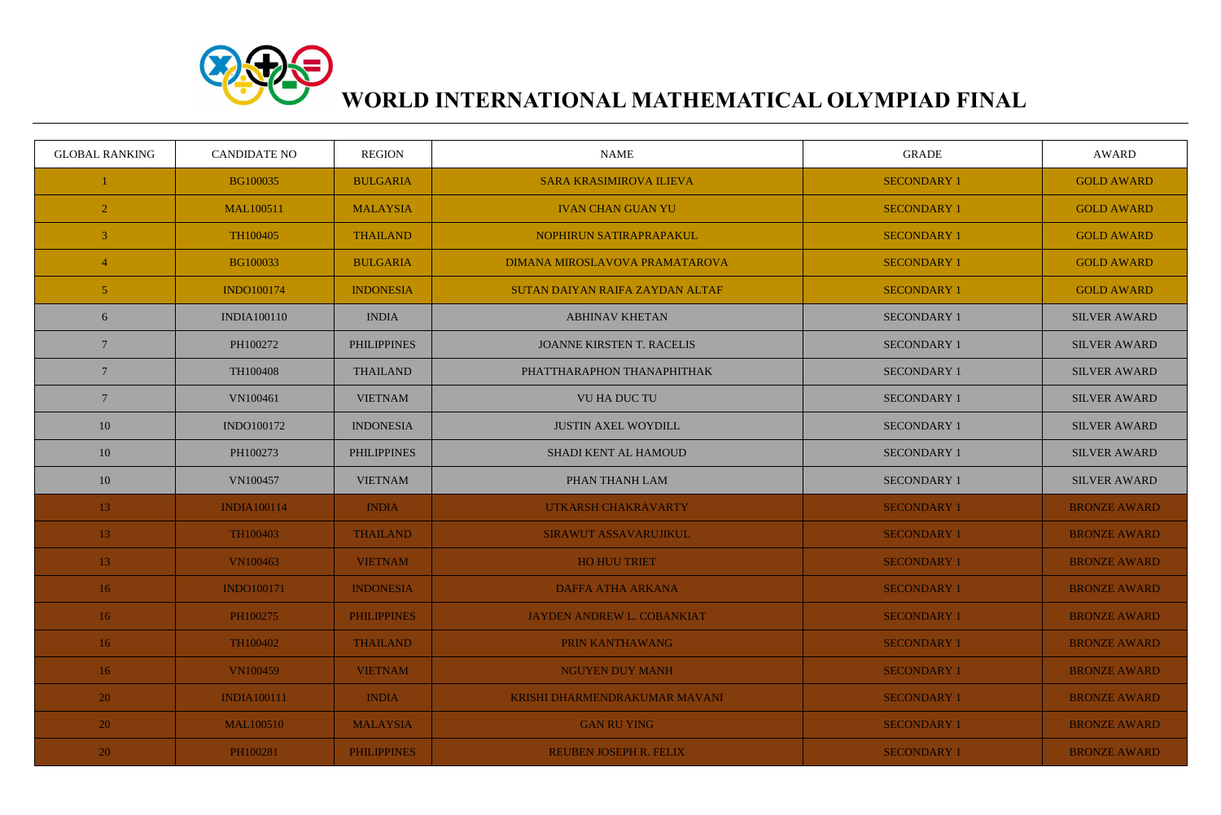

## **WORLD INTERNATIONAL MATHEMATICAL OLYMPIAD FINAL**

| <b>GLOBAL RANKING</b> | <b>CANDIDATE NO</b> | <b>REGION</b>      | <b>NAME</b>                      | <b>GRADE</b>       | AWARD               |
|-----------------------|---------------------|--------------------|----------------------------------|--------------------|---------------------|
|                       | BG100035            | <b>BULGARIA</b>    | <b>SARA KRASIMIROVA ILIEVA</b>   | <b>SECONDARY 1</b> | <b>GOLD AWARD</b>   |
| $\overline{2}$        | <b>MAL100511</b>    | <b>MALAYSIA</b>    | <b>IVAN CHAN GUAN YU</b>         | <b>SECONDARY 1</b> | <b>GOLD AWARD</b>   |
| $\overline{3}$        | TH100405            | <b>THAILAND</b>    | NOPHIRUN SATIRAPRAPAKUL          | <b>SECONDARY 1</b> | <b>GOLD AWARD</b>   |
| 4                     | BG100033            | <b>BULGARIA</b>    | DIMANA MIROSLAVOVA PRAMATAROVA   | <b>SECONDARY 1</b> | <b>GOLD AWARD</b>   |
| 5 <sup>1</sup>        | <b>INDO100174</b>   | <b>INDONESIA</b>   | SUTAN DAIYAN RAIFA ZAYDAN ALTAF  | <b>SECONDARY 1</b> | <b>GOLD AWARD</b>   |
| 6                     | <b>INDIA100110</b>  | <b>INDIA</b>       | <b>ABHINAV KHETAN</b>            | <b>SECONDARY 1</b> | <b>SILVER AWARD</b> |
| $\overline{7}$        | PH100272            | <b>PHILIPPINES</b> | <b>JOANNE KIRSTEN T. RACELIS</b> | <b>SECONDARY 1</b> | <b>SILVER AWARD</b> |
| $7\phantom{.0}$       | TH100408            | <b>THAILAND</b>    | PHATTHARAPHON THANAPHITHAK       | <b>SECONDARY 1</b> | <b>SILVER AWARD</b> |
| $\overline{7}$        | VN100461            | <b>VIETNAM</b>     | <b>VU HA DUC TU</b>              | <b>SECONDARY 1</b> | <b>SILVER AWARD</b> |
| 10                    | INDO100172          | <b>INDONESIA</b>   | <b>JUSTIN AXEL WOYDILL</b>       | <b>SECONDARY 1</b> | <b>SILVER AWARD</b> |
| 10                    | PH100273            | <b>PHILIPPINES</b> | <b>SHADI KENT AL HAMOUD</b>      | <b>SECONDARY 1</b> | <b>SILVER AWARD</b> |
| 10                    | VN100457            | <b>VIETNAM</b>     | PHAN THANH LAM                   | <b>SECONDARY 1</b> | <b>SILVER AWARD</b> |
| 13                    | <b>INDIA100114</b>  | <b>INDIA</b>       | UTKARSH CHAKRAVARTY              | <b>SECONDARY 1</b> | <b>BRONZE AWARD</b> |
| 13 <sup>°</sup>       | TH100403            | <b>THAILAND</b>    | SIRAWUT ASSAVARUJIKUL            | <b>SECONDARY 1</b> | <b>BRONZE AWARD</b> |
| 13                    | <b>VN100463</b>     | <b>VIETNAM</b>     | HO HUU TRIET                     | <b>SECONDARY 1</b> | <b>BRONZE AWARD</b> |
| 16 <sup>°</sup>       | <b>INDO100171</b>   | <b>INDONESIA</b>   | <b>DAFFA ATHA ARKANA</b>         | <b>SECONDARY 1</b> | <b>BRONZE AWARD</b> |
| 16                    | PH100275            | <b>PHILIPPINES</b> | JAYDEN ANDREW L. COBANKIAT       | <b>SECONDARY 1</b> | <b>BRONZE AWARD</b> |
| 16                    | TH100402            | <b>THAILAND</b>    | PRIN KANTHAWANG                  | <b>SECONDARY 1</b> | <b>BRONZE AWARD</b> |
| 16                    | <b>VN100459</b>     | <b>VIETNAM</b>     | <b>NGUYEN DUY MANH</b>           | <b>SECONDARY 1</b> | <b>BRONZE AWARD</b> |
| 20                    | <b>INDIA100111</b>  | <b>INDIA</b>       | KRISHI DHARMENDRAKUMAR MAVANI    | <b>SECONDARY 1</b> | <b>BRONZE AWARD</b> |
| 20                    | <b>MAL100510</b>    | <b>MALAYSIA</b>    | <b>GAN RU YING</b>               | <b>SECONDARY 1</b> | <b>BRONZE AWARD</b> |
| <b>20</b>             | PH100281            | <b>PHILIPPINES</b> | REUBEN JOSEPH R. FELIX           | <b>SECONDARY 1</b> | <b>BRONZE AWARD</b> |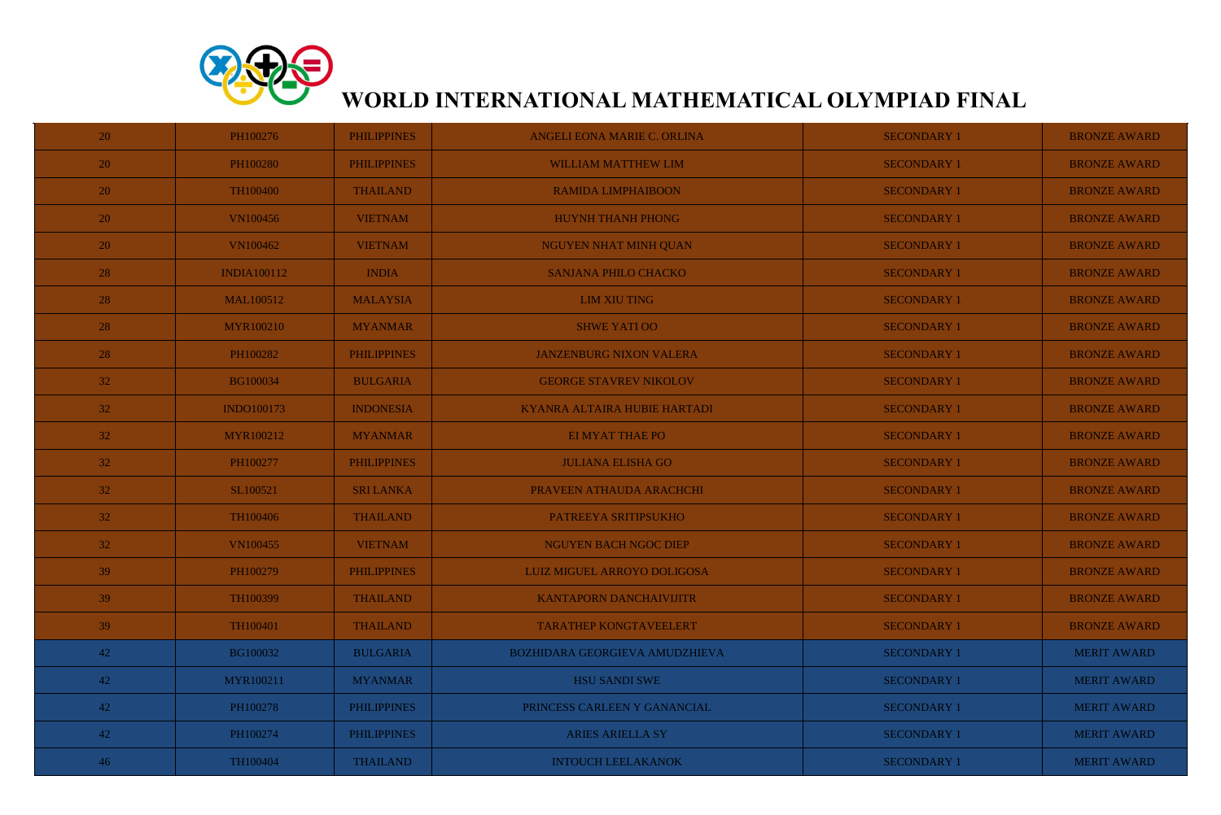

## **WORLD INTERNATIONAL MATHEMATICAL OLYMPIAD FINAL**

| <b>20</b>       | PH100276           | <b>PHILIPPINES</b> | ANGELI EONA MARIE C. ORLINA    | <b>SECONDARY 1</b> | <b>BRONZE AWARD</b> |
|-----------------|--------------------|--------------------|--------------------------------|--------------------|---------------------|
| 20              | PH100280           | <b>PHILIPPINES</b> | <b>WILLIAM MATTHEW LIM</b>     | <b>SECONDARY 1</b> | <b>BRONZE AWARD</b> |
| <b>20</b>       | TH100400           | <b>THAILAND</b>    | <b>RAMIDA LIMPHAIBOON</b>      | <b>SECONDARY 1</b> | <b>BRONZE AWARD</b> |
| 20              | <b>VN100456</b>    | <b>VIETNAM</b>     | <b>HUYNH THANH PHONG</b>       | <b>SECONDARY 1</b> | <b>BRONZE AWARD</b> |
| 20              | <b>VN100462</b>    | <b>VIETNAM</b>     | NGUYEN NHAT MINH QUAN          | <b>SECONDARY 1</b> | <b>BRONZE AWARD</b> |
| 28              | <b>INDIA100112</b> | <b>INDIA</b>       | SANJANA PHILO CHACKO           | <b>SECONDARY 1</b> | <b>BRONZE AWARD</b> |
| 28              | <b>MAL100512</b>   | <b>MALAYSIA</b>    | <b>LIM XIU TING</b>            | <b>SECONDARY 1</b> | <b>BRONZE AWARD</b> |
| 28              | <b>MYR100210</b>   | <b>MYANMAR</b>     | <b>SHWE YATI OO</b>            | <b>SECONDARY 1</b> | <b>BRONZE AWARD</b> |
| 28              | PH100282           | <b>PHILIPPINES</b> | <b>JANZENBURG NIXON VALERA</b> | <b>SECONDARY 1</b> | <b>BRONZE AWARD</b> |
| 32              | <b>BG100034</b>    | <b>BULGARIA</b>    | <b>GEORGE STAVREV NIKOLOV</b>  | <b>SECONDARY 1</b> | <b>BRONZE AWARD</b> |
| 32              | <b>INDO100173</b>  | <b>INDONESIA</b>   | KYANRA ALTAIRA HUBIE HARTADI   | <b>SECONDARY 1</b> | <b>BRONZE AWARD</b> |
| 32              | <b>MYR100212</b>   | <b>MYANMAR</b>     | <b>EI MYAT THAE PO</b>         | <b>SECONDARY 1</b> | <b>BRONZE AWARD</b> |
| 32              | PH100277           | <b>PHILIPPINES</b> | <b>JULIANA ELISHA GO</b>       | <b>SECONDARY 1</b> | <b>BRONZE AWARD</b> |
| 32              | SL100521           | <b>SRI LANKA</b>   | PRAVEEN ATHAUDA ARACHCHI       | <b>SECONDARY 1</b> | <b>BRONZE AWARD</b> |
| 32              | TH100406           | <b>THAILAND</b>    | PATREEYA SRITIPSUKHO           | <b>SECONDARY 1</b> | <b>BRONZE AWARD</b> |
| 32 <sup>2</sup> | <b>VN100455</b>    | <b>VIETNAM</b>     | NGUYEN BACH NGOC DIEP          | <b>SECONDARY 1</b> | <b>BRONZE AWARD</b> |
| 39              | PH100279           | <b>PHILIPPINES</b> | LUIZ MIGUEL ARROYO DOLIGOSA    | <b>SECONDARY 1</b> | <b>BRONZE AWARD</b> |
| 39              | TH100399           | <b>THAILAND</b>    | <b>KANTAPORN DANCHAIVIJITR</b> | <b>SECONDARY 1</b> | <b>BRONZE AWARD</b> |
| 39              | TH100401           | <b>THAILAND</b>    | <b>TARATHEP KONGTAVEELERT</b>  | <b>SECONDARY 1</b> | <b>BRONZE AWARD</b> |
| 42              | BG100032           | <b>BULGARIA</b>    | BOZHIDARA GEORGIEVA AMUDZHIEVA | <b>SECONDARY 1</b> | <b>MERIT AWARD</b>  |
| 42              | MYR100211          | <b>MYANMAR</b>     | <b>HSU SANDI SWE</b>           | <b>SECONDARY 1</b> | <b>MERIT AWARD</b>  |
| 42              | PH100278           | <b>PHILIPPINES</b> | PRINCESS CARLEEN Y GANANCIAL   | <b>SECONDARY 1</b> | <b>MERIT AWARD</b>  |
| 42              | PH100274           | <b>PHILIPPINES</b> | <b>ARIES ARIELLA SY</b>        | <b>SECONDARY 1</b> | <b>MERIT AWARD</b>  |
| 46              | TH100404           | <b>THAILAND</b>    | <b>INTOUCH LEELAKANOK</b>      | <b>SECONDARY 1</b> | <b>MERIT AWARD</b>  |